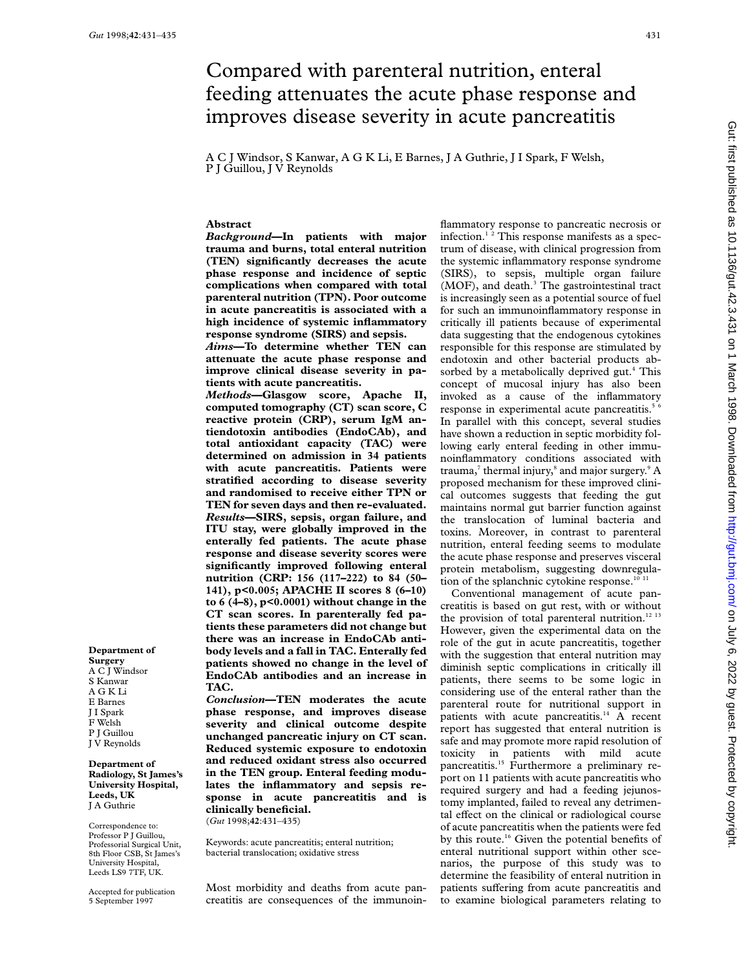# Compared with parenteral nutrition, enteral feeding attenuates the acute phase response and improves disease severity in acute pancreatitis

A C J Windsor, S Kanwar, A G K Li, E Barnes, J A Guthrie, J I Spark, F Welsh, P J Guillou, J V Reynolds

## **Abstract**

*Background***—In patients with major trauma and burns, total enteral nutrition (TEN) significantly decreases the acute phase response and incidence of septic complications when compared with total parenteral nutrition (TPN). Poor outcome in acute pancreatitis is associated with a high incidence of systemic inflammatory response syndrome (SIRS) and sepsis.**

*Aims***—To determine whether TEN can attenuate the acute phase response and improve clinical disease severity in patients with acute pancreatitis.**

*Methods***—Glasgow score, Apache II, computed tomography (CT) scan score, C reactive protein (CRP), serum IgM antiendotoxin antibodies (EndoCAb), and total antioxidant capacity (TAC) were determined on admission in 34 patients with acute pancreatitis. Patients were stratified according to disease severity and randomised to receive either TPN or TEN for seven days and then re-evaluated.** *Results***—SIRS, sepsis, organ failure, and ITU stay, were globally improved in the enterally fed patients. The acute phase response and disease severity scores were significantly improved following enteral nutrition (CRP: 156 (117–222) to 84 (50– 141), p<0.005; APACHE II scores 8 (6–10) to 6 (4–8), p<0.0001) without change in the CT scan scores. In parenterally fed patients these parameters did not change but there was an increase in EndoCAb antibody levels and a fall in TAC. Enterally fed patients showed no change in the level of EndoCAb antibodies and an increase in TAC.**

*Conclusion***—TEN moderates the acute phase response, and improves disease severity and clinical outcome despite unchanged pancreatic injury on CT scan. Reduced systemic exposure to endotoxin and reduced oxidant stress also occurred in the TEN group. Enteral feeding modulates the inflammatory and sepsis response in acute pancreatitis and is clinically beneficial.** (*Gut* 1998;**42**:431–435)

Keywords: acute pancreatitis; enteral nutrition; bacterial translocation; oxidative stress

Most morbidity and deaths from acute pancreatitis are consequences of the immunoinflammatory response to pancreatic necrosis or infection.<sup>12</sup> This response manifests as a spectrum of disease, with clinical progression from the systemic inflammatory response syndrome (SIRS), to sepsis, multiple organ failure (MOF), and death.<sup>3</sup> The gastrointestinal tract is increasingly seen as a potential source of fuel for such an immunoinflammatory response in critically ill patients because of experimental data suggesting that the endogenous cytokines responsible for this response are stimulated by endotoxin and other bacterial products absorbed by a metabolically deprived gut.<sup>4</sup> This concept of mucosal injury has also been invoked as a cause of the inflammatory response in experimental acute pancreatitis.<sup>5</sup> In parallel with this concept, several studies have shown a reduction in septic morbidity following early enteral feeding in other immunoinflammatory conditions associated with trauma,<sup>7</sup> thermal injury,<sup>8</sup> and major surgery.<sup>9</sup> A proposed mechanism for these improved clinical outcomes suggests that feeding the gut maintains normal gut barrier function against the translocation of luminal bacteria and toxins. Moreover, in contrast to parenteral nutrition, enteral feeding seems to modulate the acute phase response and preserves visceral protein metabolism, suggesting downregulation of the splanchnic cytokine response.<sup>10 11</sup>

Conventional management of acute pancreatitis is based on gut rest, with or without the provision of total parenteral nutrition. $^{12}$   $^{13}$ However, given the experimental data on the role of the gut in acute pancreatitis, together with the suggestion that enteral nutrition may diminish septic complications in critically ill patients, there seems to be some logic in considering use of the enteral rather than the parenteral route for nutritional support in patients with acute pancreatitis.<sup>14</sup> A recent report has suggested that enteral nutrition is safe and may promote more rapid resolution of toxicity in patients with mild acute pancreatitis.<sup>15</sup> Furthermore a preliminary report on 11 patients with acute pancreatitis who required surgery and had a feeding jejunostomy implanted, failed to reveal any detrimental effect on the clinical or radiological course of acute pancreatitis when the patients were fed by this route.<sup>16</sup> Given the potential benefits of enteral nutritional support within other scenarios, the purpose of this study was to determine the feasibility of enteral nutrition in patients suffering from acute pancreatitis and to examine biological parameters relating to

J V Reynolds **Department of Radiology, St James's University Hospital, Leeds, UK**

J A Guthrie

**Department of Surgery** A C J Windsor S Kanwar A G K Li E Barnes J I Spark F Welsh P J Guillou

Correspondence to: Professor P J Guillou, Professorial Surgical Unit, 8th Floor CSB, St James's University Hospital, Leeds LS9 7TF, UK.

Accepted for publication 5 September 1997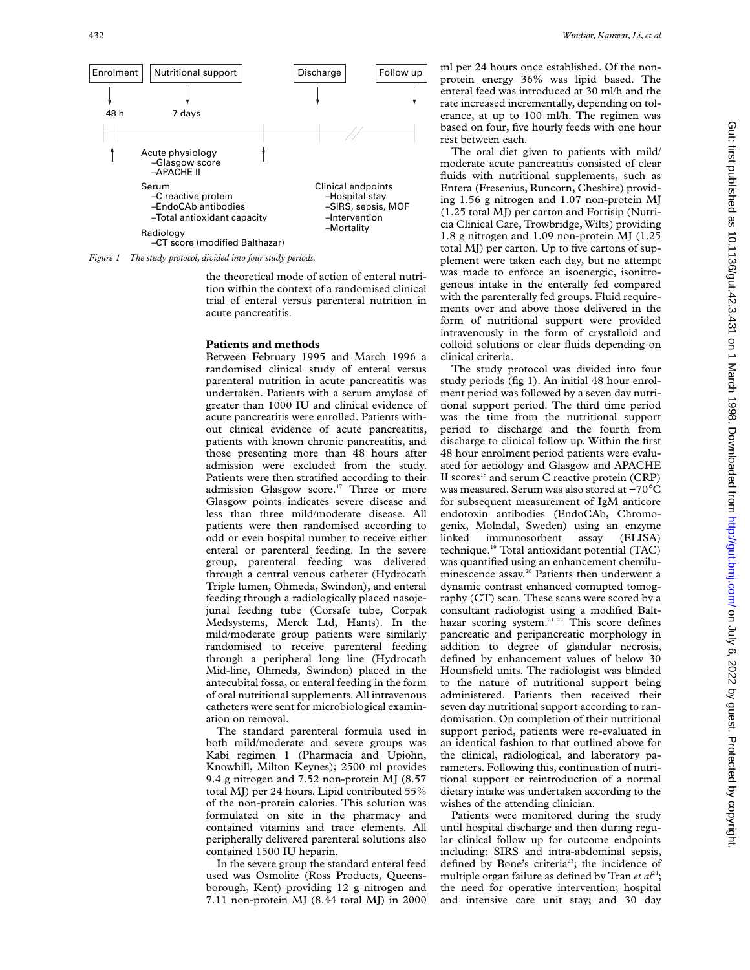

the theoretical mode of action of enteral nutrition within the context of a randomised clinical trial of enteral versus parenteral nutrition in acute pancreatitis.

#### **Patients and methods**

Between February 1995 and March 1996 a randomised clinical study of enteral versus parenteral nutrition in acute pancreatitis was undertaken. Patients with a serum amylase of greater than 1000 IU and clinical evidence of acute pancreatitis were enrolled. Patients without clinical evidence of acute pancreatitis, patients with known chronic pancreatitis, and those presenting more than 48 hours after admission were excluded from the study. Patients were then stratified according to their admission Glasgow score.<sup>17</sup> Three or more Glasgow points indicates severe disease and less than three mild/moderate disease. All patients were then randomised according to odd or even hospital number to receive either enteral or parenteral feeding. In the severe group, parenteral feeding was delivered through a central venous catheter (Hydrocath Triple lumen, Ohmeda, Swindon), and enteral feeding through a radiologically placed nasojejunal feeding tube (Corsafe tube, Corpak Medsystems, Merck Ltd, Hants). In the mild/moderate group patients were similarly randomised to receive parenteral feeding through a peripheral long line (Hydrocath Mid-line, Ohmeda, Swindon) placed in the antecubital fossa, or enteral feeding in the form of oral nutritional supplements. All intravenous catheters were sent for microbiological examination on removal.

The standard parenteral formula used in both mild/moderate and severe groups was Kabi regimen 1 (Pharmacia and Upjohn, Knowhill, Milton Keynes); 2500 ml provides 9.4 g nitrogen and 7.52 non-protein MJ (8.57 total MJ) per 24 hours. Lipid contributed 55% of the non-protein calories. This solution was formulated on site in the pharmacy and contained vitamins and trace elements. All peripherally delivered parenteral solutions also contained 1500 IU heparin.

In the severe group the standard enteral feed used was Osmolite (Ross Products, Queensborough, Kent) providing 12 g nitrogen and 7.11 non-protein MJ (8.44 total MJ) in 2000 ml per 24 hours once established. Of the nonprotein energy 36% was lipid based. The enteral feed was introduced at 30 ml/h and the rate increased incrementally, depending on tolerance, at up to 100 ml/h. The regimen was based on four, five hourly feeds with one hour rest between each.

The oral diet given to patients with mild/ moderate acute pancreatitis consisted of clear fluids with nutritional supplements, such as Entera (Fresenius, Runcorn, Cheshire) providing 1.56 g nitrogen and 1.07 non-protein MJ (1.25 total MJ) per carton and Fortisip (Nutricia Clinical Care, Trowbridge, Wilts) providing 1.8 g nitrogen and 1.09 non-protein MJ (1.25 total MJ) per carton. Up to five cartons of supplement were taken each day, but no attempt was made to enforce an isoenergic, isonitrogenous intake in the enterally fed compared with the parenterally fed groups. Fluid requirements over and above those delivered in the form of nutritional support were provided intravenously in the form of crystalloid and colloid solutions or clear fluids depending on clinical criteria.

The study protocol was divided into four study periods (fig 1). An initial 48 hour enrolment period was followed by a seven day nutritional support period. The third time period was the time from the nutritional support period to discharge and the fourth from discharge to clinical follow up. Within the first 48 hour enrolment period patients were evaluated for aetiology and Glasgow and APACHE II scores<sup>18</sup> and serum C reactive protein  $(CRP)$ was measured. Serum was also stored at −70°C for subsequent measurement of IgM anticore endotoxin antibodies (EndoCAb, Chromogenix, Molndal, Sweden) using an enzyme linked immunosorbent assay (ELISA) technique.19 Total antioxidant potential (TAC) was quantified using an enhancement chemiluminescence assay.<sup>20</sup> Patients then underwent a dynamic contrast enhanced comupted tomography (CT) scan. These scans were scored by a consultant radiologist using a modified Balthazar scoring system.<sup>21 22</sup> This score defines pancreatic and peripancreatic morphology in addition to degree of glandular necrosis, defined by enhancement values of below 30 Hounsfield units. The radiologist was blinded to the nature of nutritional support being administered. Patients then received their seven day nutritional support according to randomisation. On completion of their nutritional support period, patients were re-evaluated in an identical fashion to that outlined above for the clinical, radiological, and laboratory parameters. Following this, continuation of nutritional support or reintroduction of a normal dietary intake was undertaken according to the wishes of the attending clinician.

Patients were monitored during the study until hospital discharge and then during regular clinical follow up for outcome endpoints including: SIRS and intra-abdominal sepsis, defined by Bone's criteria<sup>23</sup>; the incidence of multiple organ failure as defined by Tran *et al*<sup>24</sup>; the need for operative intervention; hospital and intensive care unit stay; and 30 day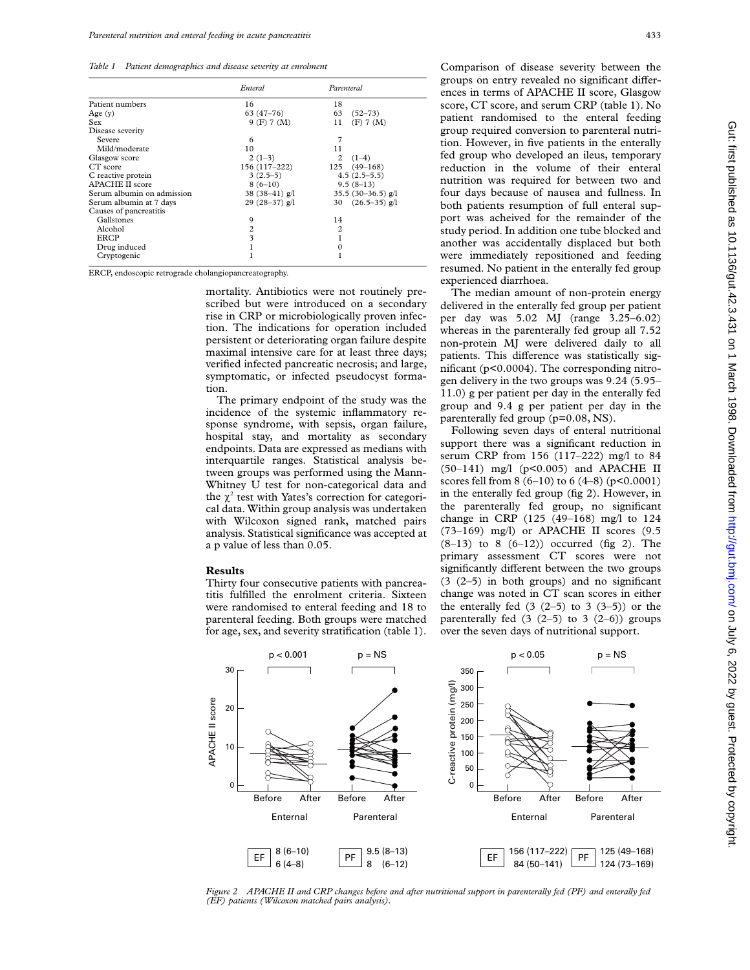*Table 1 Patient demographics and disease severity at enrolment*

|                            | Enteral          | Parenteral                |
|----------------------------|------------------|---------------------------|
| Patient numbers            | 16               | 18                        |
| Age $(v)$                  | $63(47-76)$      | 63<br>$(52 - 73)$         |
| Sex                        | 9(F) 7(M)        | 11<br>(F) 7 (M)           |
| Disease severity           |                  |                           |
| Severe                     | 6                | 7                         |
| Mild/moderate              | 10               | 11                        |
| Glasgow score              | $2(1-3)$         | $\mathfrak{D}$<br>$(1-4)$ |
| CT score                   | 156 (117–222)    | $125(49-168)$             |
| C reactive protein         | $3(2.5-5)$       | $4.5(2.5-5.5)$            |
| <b>APACHE II score</b>     | $8(6-10)$        | $9.5(8-13)$               |
| Serum albumin on admission | 38 $(38-41)$ g/l | 35.5 $(30-36.5)$ g/l      |
| Serum albumin at 7 days    | 29 $(28-37)$ g/l | $(26.5 - 35)$ g/l<br>30   |
| Causes of pancreatitis     |                  |                           |
| Gallstones                 | 9                | 14                        |
| Alcohol                    | 2                | 2                         |
| ERCP                       | 3                |                           |
| Drug induced               |                  | 0                         |
| Cryptogenic                |                  |                           |

ERCP, endoscopic retrograde cholangiopancreatography.

mortality. Antibiotics were not routinely prescribed but were introduced on a secondary rise in CRP or microbiologically proven infection. The indications for operation included persistent or deteriorating organ failure despite maximal intensive care for at least three days; verified infected pancreatic necrosis; and large, symptomatic, or infected pseudocyst formation.

The primary endpoint of the study was the incidence of the systemic inflammatory response syndrome, with sepsis, organ failure, hospital stay, and mortality as secondary endpoints. Data are expressed as medians with interquartile ranges. Statistical analysis between groups was performed using the Mann-Whitney U test for non-categorical data and the  $\chi^2$  test with Yates's correction for categorical data. Within group analysis was undertaken with Wilcoxon signed rank, matched pairs analysis. Statistical significance was accepted at a p value of less than 0.05.

#### **Results**

Thirty four consecutive patients with pancreatitis fulfilled the enrolment criteria. Sixteen were randomised to enteral feeding and 18 to parenteral feeding. Both groups were matched for age, sex, and severity stratification (table 1). Comparison of disease severity between the groups on entry revealed no significant differences in terms of APACHE II score, Glasgow score, CT score, and serum CRP (table 1). No patient randomised to the enteral feeding group required conversion to parenteral nutrition. However, in five patients in the enterally fed group who developed an ileus, temporary reduction in the volume of their enteral nutrition was required for between two and four days because of nausea and fullness. In both patients resumption of full enteral support was acheived for the remainder of the study period. In addition one tube blocked and another was accidentally displaced but both were immediately repositioned and feeding resumed. No patient in the enterally fed group experienced diarrhoea.

The median amount of non-protein energy delivered in the enterally fed group per patient per day was 5.02 MJ (range 3.25–6.02) whereas in the parenterally fed group all 7.52 non-protein MJ were delivered daily to all patients. This difference was statistically significant (p<0.0004). The corresponding nitrogen delivery in the two groups was 9.24 (5.95– 11.0) g per patient per day in the enterally fed group and 9.4 g per patient per day in the parenterally fed group (p=0.08, NS).

Following seven days of enteral nutritional support there was a significant reduction in serum CRP from 156 (117–222) mg/l to 84 (50–141) mg/l (p<0.005) and APACHE II scores fell from 8 (6–10) to 6 (4–8) ( $p$ <0.0001) in the enterally fed group (fig 2). However, in the parenterally fed group, no significant change in CRP (125 (49–168) mg/l to 124 (73–169) mg/l) or APACHE II scores (9.5  $(8-13)$  to 8  $(6-12)$  occurred (fig 2). The primary assessment CT scores were not significantly different between the two groups (3 (2–5) in both groups) and no significant change was noted in CT scan scores in either the enterally fed  $(3 (2-5)$  to  $3 (3-5)$ ) or the parenterally fed  $(3 (2-5)$  to  $3 (2-6)$ ) groups over the seven days of nutritional support.



*Figure 2 APACHE II and CRP changes before and after nutritional support in parenterally fed (PF) and enterally fed (EF) patients (Wilcoxon matched pairs analysis).*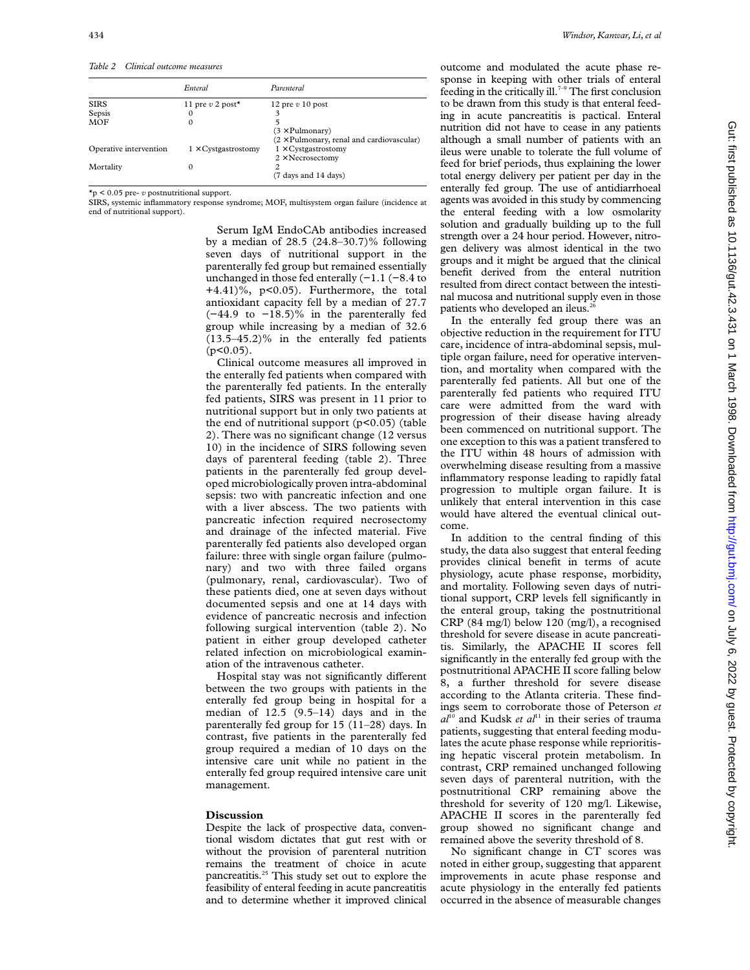*Table 2 Clinical outcome measures*

|                        | Enteral                    | Parenteral                                       |
|------------------------|----------------------------|--------------------------------------------------|
| <b>SIRS</b>            | 11 pre v 2 post $\star$    | 12 pre $v$ 10 post                               |
| Sepsis                 | 0                          | 3                                                |
| <b>MOF</b>             | 0                          |                                                  |
|                        |                            | $(3 \times$ Pulmonary)                           |
|                        |                            | $(2 \times$ Pulmonary, renal and cardiovascular) |
| Operative intervention | $1 \times$ Cystgastrostomy | $1 \times$ Cystgastrostomy                       |
|                        |                            | $2 \times$ Necrosectomy                          |
| Mortality              | 0                          | 2                                                |
|                        |                            | (7 days and 14 days)                             |

\*p < 0.05 pre- *v* postnutritional support.

SIRS, systemic inflammatory response syndrome; MOF, multisystem organ failure (incidence at end of nutritional support).

> Serum IgM EndoCAb antibodies increased by a median of 28.5 (24.8–30.7)% following seven days of nutritional support in the parenterally fed group but remained essentially unchanged in those fed enterally (−1.1 (−8.4 to +4.41)%, p<0.05). Furthermore, the total antioxidant capacity fell by a median of 27.7 (−44.9 to −18.5)% in the parenterally fed group while increasing by a median of 32.6 (13.5–45.2)% in the enterally fed patients  $(p<0.05)$ .

> Clinical outcome measures all improved in the enterally fed patients when compared with the parenterally fed patients. In the enterally fed patients, SIRS was present in 11 prior to nutritional support but in only two patients at the end of nutritional support  $(p<0.05)$  (table 2). There was no significant change (12 versus 10) in the incidence of SIRS following seven days of parenteral feeding (table 2). Three patients in the parenterally fed group developed microbiologically proven intra-abdominal sepsis: two with pancreatic infection and one with a liver abscess. The two patients with pancreatic infection required necrosectomy and drainage of the infected material. Five parenterally fed patients also developed organ failure: three with single organ failure (pulmonary) and two with three failed organs (pulmonary, renal, cardiovascular). Two of these patients died, one at seven days without documented sepsis and one at 14 days with evidence of pancreatic necrosis and infection following surgical intervention (table 2). No patient in either group developed catheter related infection on microbiological examination of the intravenous catheter.

> Hospital stay was not significantly different between the two groups with patients in the enterally fed group being in hospital for a median of 12.5 (9.5–14) days and in the parenterally fed group for 15 (11–28) days. In contrast, five patients in the parenterally fed group required a median of 10 days on the intensive care unit while no patient in the enterally fed group required intensive care unit management.

### **Discussion**

Despite the lack of prospective data, conventional wisdom dictates that gut rest with or without the provision of parenteral nutrition remains the treatment of choice in acute pancreatitis.25 This study set out to explore the feasibility of enteral feeding in acute pancreatitis and to determine whether it improved clinical

outcome and modulated the acute phase response in keeping with other trials of enteral feeding in the critically ill.<sup>7-9</sup> The first conclusion to be drawn from this study is that enteral feeding in acute pancreatitis is pactical. Enteral nutrition did not have to cease in any patients although a small number of patients with an ileus were unable to tolerate the full volume of feed for brief periods, thus explaining the lower total energy delivery per patient per day in the enterally fed group. The use of antidiarrhoeal agents was avoided in this study by commencing the enteral feeding with a low osmolarity solution and gradually building up to the full strength over a 24 hour period. However, nitrogen delivery was almost identical in the two groups and it might be argued that the clinical benefit derived from the enteral nutrition resulted from direct contact between the intestinal mucosa and nutritional supply even in those patients who developed an ileus.<sup>2</sup>

In the enterally fed group there was an objective reduction in the requirement for ITU care, incidence of intra-abdominal sepsis, multiple organ failure, need for operative intervention, and mortality when compared with the parenterally fed patients. All but one of the parenterally fed patients who required ITU care were admitted from the ward with progression of their disease having already been commenced on nutritional support. The one exception to this was a patient transfered to the ITU within 48 hours of admission with overwhelming disease resulting from a massive inflammatory response leading to rapidly fatal progression to multiple organ failure. It is unlikely that enteral intervention in this case would have altered the eventual clinical outcome.

In addition to the central finding of this study, the data also suggest that enteral feeding provides clinical benefit in terms of acute physiology, acute phase response, morbidity, and mortality. Following seven days of nutritional support, CRP levels fell significantly in the enteral group, taking the postnutritional CRP (84 mg/l) below 120 (mg/l), a recognised threshold for severe disease in acute pancreatitis. Similarly, the APACHE II scores fell significantly in the enterally fed group with the postnutritional APACHE II score falling below 8, a further threshold for severe disease according to the Atlanta criteria. These findings seem to corroborate those of Peterson *et*  $a^{10}$  and Kudsk *et al*<sup>11</sup> in their series of trauma patients, suggesting that enteral feeding modulates the acute phase response while reprioritising hepatic visceral protein metabolism. In contrast, CRP remained unchanged following seven days of parenteral nutrition, with the postnutritional CRP remaining above the threshold for severity of 120 mg/l. Likewise, APACHE II scores in the parenterally fed group showed no significant change and remained above the severity threshold of 8.

No significant change in CT scores was noted in either group, suggesting that apparent improvements in acute phase response and acute physiology in the enterally fed patients occurred in the absence of measurable changes